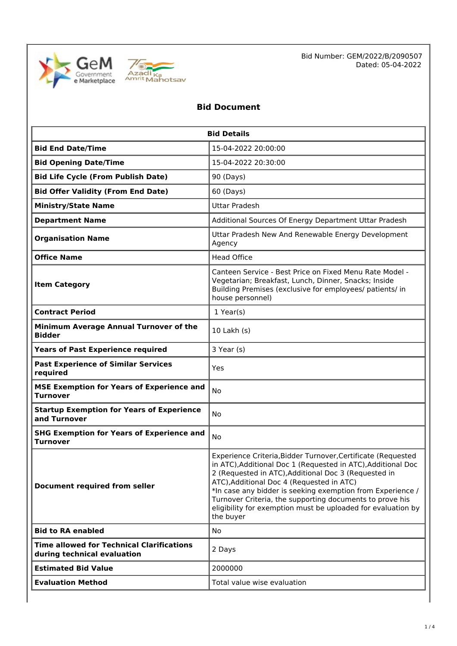



Bid Number: GEM/2022/B/2090507 Dated: 05-04-2022

## **Bid Document**

| <b>Bid Details</b>                                                              |                                                                                                                                                                                                                                                                                                                                                                                                                                          |  |  |  |
|---------------------------------------------------------------------------------|------------------------------------------------------------------------------------------------------------------------------------------------------------------------------------------------------------------------------------------------------------------------------------------------------------------------------------------------------------------------------------------------------------------------------------------|--|--|--|
| <b>Bid End Date/Time</b>                                                        | 15-04-2022 20:00:00                                                                                                                                                                                                                                                                                                                                                                                                                      |  |  |  |
| <b>Bid Opening Date/Time</b>                                                    | 15-04-2022 20:30:00                                                                                                                                                                                                                                                                                                                                                                                                                      |  |  |  |
| <b>Bid Life Cycle (From Publish Date)</b>                                       | 90 (Days)                                                                                                                                                                                                                                                                                                                                                                                                                                |  |  |  |
| <b>Bid Offer Validity (From End Date)</b>                                       | 60 (Days)                                                                                                                                                                                                                                                                                                                                                                                                                                |  |  |  |
| <b>Ministry/State Name</b>                                                      | <b>Uttar Pradesh</b>                                                                                                                                                                                                                                                                                                                                                                                                                     |  |  |  |
| <b>Department Name</b>                                                          | Additional Sources Of Energy Department Uttar Pradesh                                                                                                                                                                                                                                                                                                                                                                                    |  |  |  |
| <b>Organisation Name</b>                                                        | Uttar Pradesh New And Renewable Energy Development<br>Agency                                                                                                                                                                                                                                                                                                                                                                             |  |  |  |
| <b>Office Name</b>                                                              | <b>Head Office</b>                                                                                                                                                                                                                                                                                                                                                                                                                       |  |  |  |
| <b>Item Category</b>                                                            | Canteen Service - Best Price on Fixed Menu Rate Model -<br>Vegetarian; Breakfast, Lunch, Dinner, Snacks; Inside<br>Building Premises (exclusive for employees/ patients/ in<br>house personnel)                                                                                                                                                                                                                                          |  |  |  |
| <b>Contract Period</b>                                                          | $1$ Year(s)                                                                                                                                                                                                                                                                                                                                                                                                                              |  |  |  |
| Minimum Average Annual Turnover of the<br><b>Bidder</b>                         | 10 Lakh (s)                                                                                                                                                                                                                                                                                                                                                                                                                              |  |  |  |
| <b>Years of Past Experience required</b>                                        | 3 Year (s)                                                                                                                                                                                                                                                                                                                                                                                                                               |  |  |  |
| <b>Past Experience of Similar Services</b><br>required                          | Yes                                                                                                                                                                                                                                                                                                                                                                                                                                      |  |  |  |
| <b>MSE Exemption for Years of Experience and</b><br><b>Turnover</b>             | No                                                                                                                                                                                                                                                                                                                                                                                                                                       |  |  |  |
| <b>Startup Exemption for Years of Experience</b><br>and Turnover                | No.                                                                                                                                                                                                                                                                                                                                                                                                                                      |  |  |  |
| <b>SHG Exemption for Years of Experience and</b><br><b>Turnover</b>             | No                                                                                                                                                                                                                                                                                                                                                                                                                                       |  |  |  |
| Document required from seller                                                   | Experience Criteria, Bidder Turnover, Certificate (Requested<br>in ATC), Additional Doc 1 (Requested in ATC), Additional Doc<br>2 (Requested in ATC), Additional Doc 3 (Requested in<br>ATC), Additional Doc 4 (Requested in ATC)<br>*In case any bidder is seeking exemption from Experience /<br>Turnover Criteria, the supporting documents to prove his<br>eligibility for exemption must be uploaded for evaluation by<br>the buyer |  |  |  |
| <b>Bid to RA enabled</b>                                                        | <b>No</b>                                                                                                                                                                                                                                                                                                                                                                                                                                |  |  |  |
| <b>Time allowed for Technical Clarifications</b><br>during technical evaluation | 2 Days                                                                                                                                                                                                                                                                                                                                                                                                                                   |  |  |  |
| <b>Estimated Bid Value</b>                                                      | 2000000                                                                                                                                                                                                                                                                                                                                                                                                                                  |  |  |  |
| <b>Evaluation Method</b>                                                        | Total value wise evaluation                                                                                                                                                                                                                                                                                                                                                                                                              |  |  |  |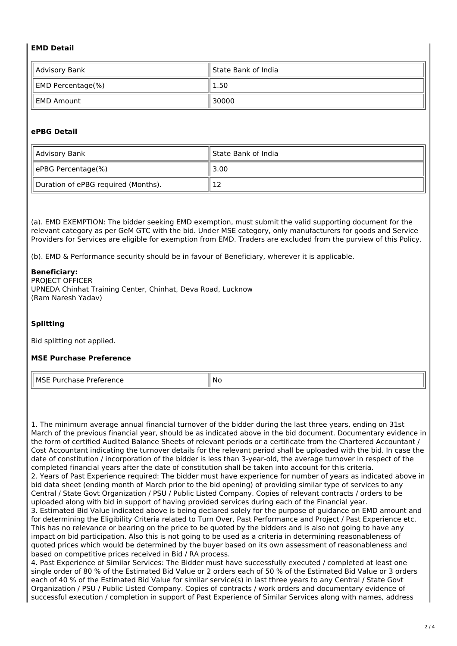#### **EMD Detail**

| Advisory Bank     | State Bank of India |  |
|-------------------|---------------------|--|
| EMD Percentage(%) | 1.50                |  |
| EMD Amount        | 30000               |  |

#### **ePBG Detail**

| Advisory Bank                       | ll State Bank of India |  |
|-------------------------------------|------------------------|--|
| ePBG Percentage(%)                  | 3.00                   |  |
| Duration of ePBG required (Months). | ┸                      |  |

(a). EMD EXEMPTION: The bidder seeking EMD exemption, must submit the valid supporting document for the relevant category as per GeM GTC with the bid. Under MSE category, only manufacturers for goods and Service Providers for Services are eligible for exemption from EMD. Traders are excluded from the purview of this Policy.

(b). EMD & Performance security should be in favour of Beneficiary, wherever it is applicable.

#### **Beneficiary:**

PROJECT OFFICER UPNEDA Chinhat Training Center, Chinhat, Deva Road, Lucknow (Ram Naresh Yadav)

#### **Splitting**

Bid splitting not applied.

#### **MSE Purchase Preference**

MSE Purchase Preference No. No. No. 1996

1. The minimum average annual financial turnover of the bidder during the last three years, ending on 31st March of the previous financial year, should be as indicated above in the bid document. Documentary evidence in the form of certified Audited Balance Sheets of relevant periods or a certificate from the Chartered Accountant / Cost Accountant indicating the turnover details for the relevant period shall be uploaded with the bid. In case the date of constitution / incorporation of the bidder is less than 3-year-old, the average turnover in respect of the completed financial years after the date of constitution shall be taken into account for this criteria. 2. Years of Past Experience required: The bidder must have experience for number of years as indicated above in bid data sheet (ending month of March prior to the bid opening) of providing similar type of services to any Central / State Govt Organization / PSU / Public Listed Company. Copies of relevant contracts / orders to be uploaded along with bid in support of having provided services during each of the Financial year. 3. Estimated Bid Value indicated above is being declared solely for the purpose of guidance on EMD amount and for determining the Eligibility Criteria related to Turn Over, Past Performance and Project / Past Experience etc. This has no relevance or bearing on the price to be quoted by the bidders and is also not going to have any impact on bid participation. Also this is not going to be used as a criteria in determining reasonableness of quoted prices which would be determined by the buyer based on its own assessment of reasonableness and based on competitive prices received in Bid / RA process.

4. Past Experience of Similar Services: The Bidder must have successfully executed / completed at least one single order of 80 % of the Estimated Bid Value or 2 orders each of 50 % of the Estimated Bid Value or 3 orders each of 40 % of the Estimated Bid Value for similar service(s) in last three years to any Central / State Govt Organization / PSU / Public Listed Company. Copies of contracts / work orders and documentary evidence of successful execution / completion in support of Past Experience of Similar Services along with names, address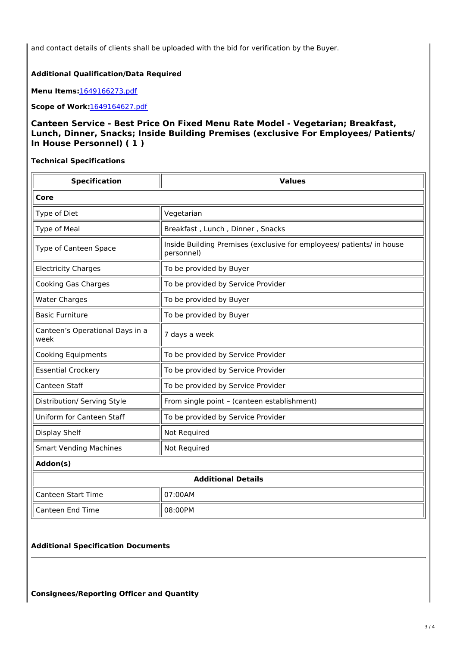and contact details of clients shall be uploaded with the bid for verification by the Buyer.

#### **Additional Qualification/Data Required**

**Menu Items:**[1649166273.pdf](https://bidplus.gem.gov.in/resources/upload2/AprQ222/bidding/biddoc/bid-3306200/1649166273.pdf)

**Scope of Work:**[1649164627.pdf](https://bidplus.gem.gov.in/resources/upload2/AprQ222/bidding/biddoc/bid-3306200/1649164627.pdf)

### **Canteen Service - Best Price On Fixed Menu Rate Model - Vegetarian; Breakfast, Lunch, Dinner, Snacks; Inside Building Premises (exclusive For Employees/ Patients/ In House Personnel) ( 1 )**

**Technical Specifications**

| <b>Specification</b>                    | <b>Values</b>                                                                       |  |  |  |
|-----------------------------------------|-------------------------------------------------------------------------------------|--|--|--|
| Core                                    |                                                                                     |  |  |  |
| Type of Diet                            | Vegetarian                                                                          |  |  |  |
| Type of Meal                            | Breakfast, Lunch, Dinner, Snacks                                                    |  |  |  |
| Type of Canteen Space                   | Inside Building Premises (exclusive for employees/ patients/ in house<br>personnel) |  |  |  |
| <b>Electricity Charges</b>              | To be provided by Buyer                                                             |  |  |  |
| <b>Cooking Gas Charges</b>              | To be provided by Service Provider                                                  |  |  |  |
| <b>Water Charges</b>                    | To be provided by Buyer                                                             |  |  |  |
| <b>Basic Furniture</b>                  | To be provided by Buyer                                                             |  |  |  |
| Canteen's Operational Days in a<br>week | 7 days a week                                                                       |  |  |  |
| <b>Cooking Equipments</b>               | To be provided by Service Provider                                                  |  |  |  |
| <b>Essential Crockery</b>               | To be provided by Service Provider                                                  |  |  |  |
| Canteen Staff                           | To be provided by Service Provider                                                  |  |  |  |
| Distribution/ Serving Style             | From single point - (canteen establishment)                                         |  |  |  |
| Uniform for Canteen Staff               | To be provided by Service Provider                                                  |  |  |  |
| Display Shelf                           | Not Required                                                                        |  |  |  |
| <b>Smart Vending Machines</b>           | Not Required                                                                        |  |  |  |
| Addon(s)                                |                                                                                     |  |  |  |
| <b>Additional Details</b>               |                                                                                     |  |  |  |
| Canteen Start Time                      | 07:00AM                                                                             |  |  |  |

#### **Additional Specification Documents**

Canteen End Time  $\parallel$  08:00PM